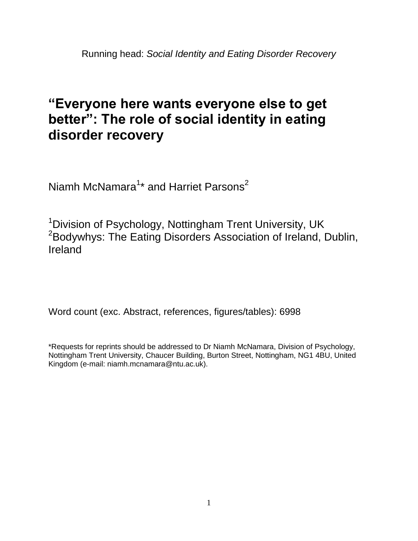# **"Everyone here wants everyone else to get better": The role of social identity in eating disorder recovery**

Niamh McNamara<sup>1</sup>\* and Harriet Parsons<sup>2</sup>

<sup>1</sup>Division of Psychology, Nottingham Trent University, UK <sup>2</sup>Bodywhys: The Eating Disorders Association of Ireland, Dublin, Ireland

Word count (exc. Abstract, references, figures/tables): 6998

\*Requests for reprints should be addressed to Dr Niamh McNamara, Division of Psychology, Nottingham Trent University, Chaucer Building, Burton Street, Nottingham, NG1 4BU, United Kingdom (e-mail: niamh.mcnamara@ntu.ac.uk).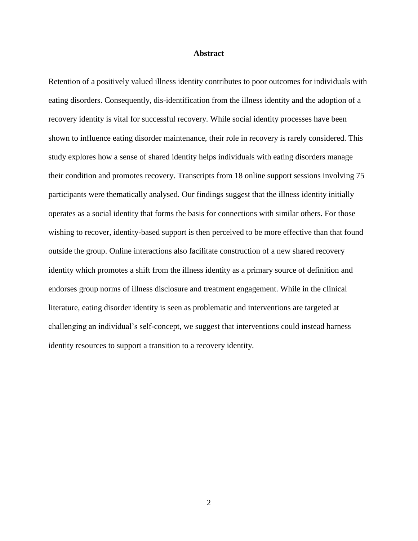#### **Abstract**

Retention of a positively valued illness identity contributes to poor outcomes for individuals with eating disorders. Consequently, dis-identification from the illness identity and the adoption of a recovery identity is vital for successful recovery. While social identity processes have been shown to influence eating disorder maintenance, their role in recovery is rarely considered. This study explores how a sense of shared identity helps individuals with eating disorders manage their condition and promotes recovery. Transcripts from 18 online support sessions involving 75 participants were thematically analysed. Our findings suggest that the illness identity initially operates as a social identity that forms the basis for connections with similar others. For those wishing to recover, identity-based support is then perceived to be more effective than that found outside the group. Online interactions also facilitate construction of a new shared recovery identity which promotes a shift from the illness identity as a primary source of definition and endorses group norms of illness disclosure and treatment engagement. While in the clinical literature, eating disorder identity is seen as problematic and interventions are targeted at challenging an individual's self-concept, we suggest that interventions could instead harness identity resources to support a transition to a recovery identity.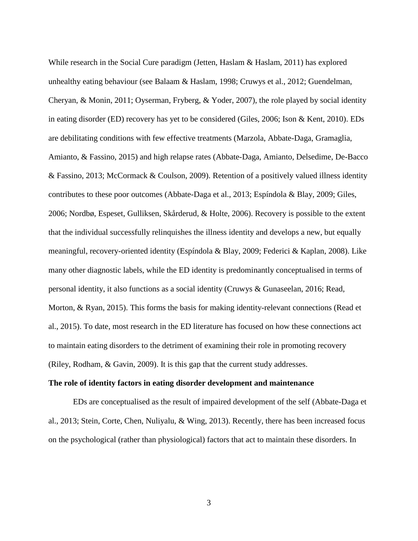While research in the Social Cure paradigm (Jetten, Haslam & Haslam, 2011) has explored unhealthy eating behaviour (see Balaam & Haslam, 1998; Cruwys et al., 2012; Guendelman, Cheryan, & Monin, 2011; Oyserman, Fryberg, & Yoder, 2007), the role played by social identity in eating disorder (ED) recovery has yet to be considered (Giles, 2006; Ison & Kent, 2010). EDs are debilitating conditions with few effective treatments (Marzola, Abbate-Daga, Gramaglia, Amianto, & Fassino, 2015) and high relapse rates (Abbate-Daga, Amianto, Delsedime, De-Bacco & Fassino, 2013; McCormack & Coulson, 2009). Retention of a positively valued illness identity contributes to these poor outcomes (Abbate-Daga et al., 2013; Espíndola & Blay, 2009; Giles, 2006; Nordbø, Espeset, Gulliksen, Skårderud, & Holte, 2006). Recovery is possible to the extent that the individual successfully relinquishes the illness identity and develops a new, but equally meaningful, recovery-oriented identity (Espíndola & Blay, 2009; Federici & Kaplan, 2008). Like many other diagnostic labels, while the ED identity is predominantly conceptualised in terms of personal identity, it also functions as a social identity (Cruwys & Gunaseelan, 2016; Read, Morton, & Ryan, 2015). This forms the basis for making identity-relevant connections (Read et al., 2015). To date, most research in the ED literature has focused on how these connections act to maintain eating disorders to the detriment of examining their role in promoting recovery (Riley, Rodham, & Gavin, 2009). It is this gap that the current study addresses.

### **The role of identity factors in eating disorder development and maintenance**

EDs are conceptualised as the result of impaired development of the self (Abbate-Daga et al., 2013; Stein, Corte, Chen, Nuliyalu, & Wing, 2013). Recently, there has been increased focus on the psychological (rather than physiological) factors that act to maintain these disorders. In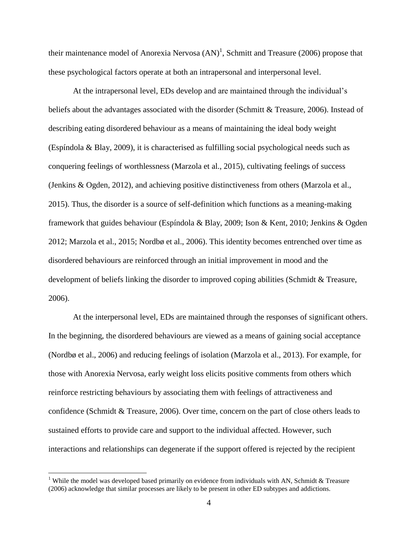their maintenance model of Anorexia Nervosa  $(AN)^1$ , Schmitt and Treasure (2006) propose that these psychological factors operate at both an intrapersonal and interpersonal level.

At the intrapersonal level, EDs develop and are maintained through the individual's beliefs about the advantages associated with the disorder (Schmitt & Treasure, 2006). Instead of describing eating disordered behaviour as a means of maintaining the ideal body weight (Espíndola & Blay, 2009), it is characterised as fulfilling social psychological needs such as conquering feelings of worthlessness (Marzola et al., 2015), cultivating feelings of success (Jenkins & Ogden, 2012), and achieving positive distinctiveness from others (Marzola et al., 2015). Thus, the disorder is a source of self-definition which functions as a meaning-making framework that guides behaviour (Espíndola & Blay, 2009; Ison & Kent, 2010; Jenkins & Ogden 2012; Marzola et al., 2015; Nordbø et al., 2006). This identity becomes entrenched over time as disordered behaviours are reinforced through an initial improvement in mood and the development of beliefs linking the disorder to improved coping abilities (Schmidt & Treasure, 2006).

At the interpersonal level, EDs are maintained through the responses of significant others. In the beginning, the disordered behaviours are viewed as a means of gaining social acceptance (Nordbø et al., 2006) and reducing feelings of isolation (Marzola et al., 2013). For example, for those with Anorexia Nervosa, early weight loss elicits positive comments from others which reinforce restricting behaviours by associating them with feelings of attractiveness and confidence (Schmidt & Treasure, 2006). Over time, concern on the part of close others leads to sustained efforts to provide care and support to the individual affected. However, such interactions and relationships can degenerate if the support offered is rejected by the recipient

 $\overline{a}$ 

<sup>&</sup>lt;sup>1</sup> While the model was developed based primarily on evidence from individuals with AN, Schmidt & Treasure (2006) acknowledge that similar processes are likely to be present in other ED subtypes and addictions.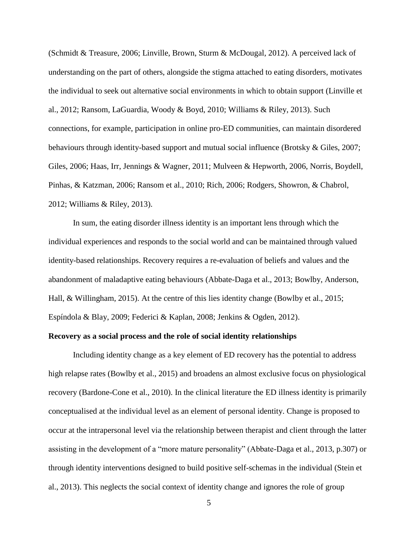(Schmidt & Treasure, 2006; Linville, Brown, Sturm & McDougal, 2012). A perceived lack of understanding on the part of others, alongside the stigma attached to eating disorders, motivates the individual to seek out alternative social environments in which to obtain support (Linville et al., 2012; Ransom, LaGuardia, Woody & Boyd, 2010; Williams & Riley, 2013). Such connections, for example, participation in online pro-ED communities, can maintain disordered behaviours through identity-based support and mutual social influence (Brotsky & Giles, 2007; Giles, 2006; Haas, Irr, Jennings & Wagner, 2011; Mulveen & Hepworth, 2006, Norris, Boydell, Pinhas, & Katzman, 2006; Ransom et al., 2010; Rich, 2006; Rodgers, Showron, & Chabrol, 2012; Williams & Riley, 2013).

In sum, the eating disorder illness identity is an important lens through which the individual experiences and responds to the social world and can be maintained through valued identity-based relationships. Recovery requires a re-evaluation of beliefs and values and the abandonment of maladaptive eating behaviours (Abbate-Daga et al., 2013; Bowlby, Anderson, Hall, & Willingham, 2015). At the centre of this lies identity change (Bowlby et al., 2015; Espíndola & Blay, 2009; Federici & Kaplan, 2008; Jenkins & Ogden, 2012).

# **Recovery as a social process and the role of social identity relationships**

Including identity change as a key element of ED recovery has the potential to address high relapse rates (Bowlby et al., 2015) and broadens an almost exclusive focus on physiological recovery (Bardone-Cone et al., 2010). In the clinical literature the ED illness identity is primarily conceptualised at the individual level as an element of personal identity. Change is proposed to occur at the intrapersonal level via the relationship between therapist and client through the latter assisting in the development of a "more mature personality" (Abbate-Daga et al., 2013, p.307) or through identity interventions designed to build positive self-schemas in the individual (Stein et al., 2013). This neglects the social context of identity change and ignores the role of group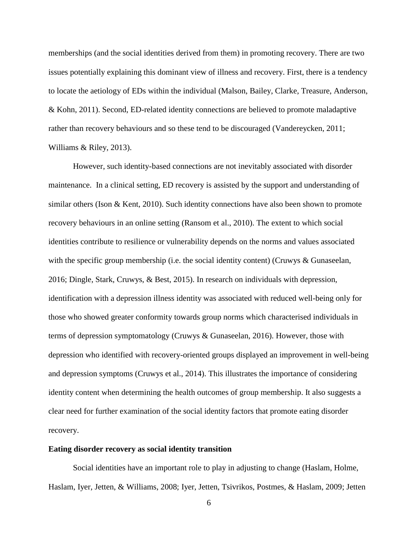memberships (and the social identities derived from them) in promoting recovery. There are two issues potentially explaining this dominant view of illness and recovery. First, there is a tendency to locate the aetiology of EDs within the individual (Malson, Bailey, Clarke, Treasure, Anderson, & Kohn, 2011). Second, ED-related identity connections are believed to promote maladaptive rather than recovery behaviours and so these tend to be discouraged (Vandereycken, 2011; Williams & Riley, 2013).

However, such identity-based connections are not inevitably associated with disorder maintenance. In a clinical setting, ED recovery is assisted by the support and understanding of similar others (Ison & Kent, 2010). Such identity connections have also been shown to promote recovery behaviours in an online setting (Ransom et al., 2010). The extent to which social identities contribute to resilience or vulnerability depends on the norms and values associated with the specific group membership (i.e. the social identity content) (Cruwys & Gunaseelan, 2016; Dingle, Stark, Cruwys, & Best, 2015). In research on individuals with depression, identification with a depression illness identity was associated with reduced well-being only for those who showed greater conformity towards group norms which characterised individuals in terms of depression symptomatology (Cruwys & Gunaseelan, 2016). However, those with depression who identified with recovery-oriented groups displayed an improvement in well-being and depression symptoms (Cruwys et al., 2014). This illustrates the importance of considering identity content when determining the health outcomes of group membership. It also suggests a clear need for further examination of the social identity factors that promote eating disorder recovery.

# **Eating disorder recovery as social identity transition**

Social identities have an important role to play in adjusting to change (Haslam, Holme, Haslam, Iyer, Jetten, & Williams, 2008; Iyer, Jetten, Tsivrikos, Postmes, & Haslam, 2009; Jetten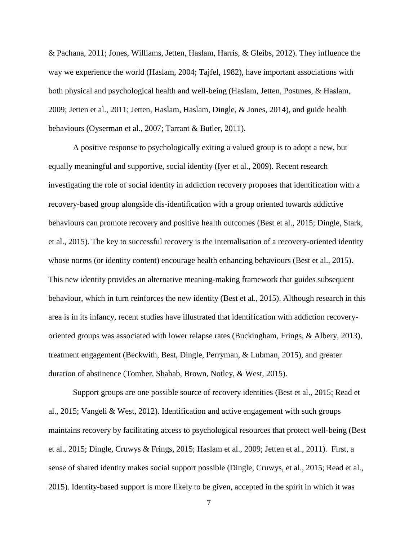& Pachana, 2011; Jones, Williams, Jetten, Haslam, Harris, & Gleibs, 2012). They influence the way we experience the world (Haslam, 2004; Tajfel, 1982), have important associations with both physical and psychological health and well-being (Haslam, Jetten, Postmes, & Haslam, 2009; Jetten et al., 2011; Jetten, Haslam, Haslam, Dingle, & Jones, 2014), and guide health behaviours (Oyserman et al., 2007; Tarrant & Butler, 2011).

A positive response to psychologically exiting a valued group is to adopt a new, but equally meaningful and supportive, social identity (Iyer et al., 2009). Recent research investigating the role of social identity in addiction recovery proposes that identification with a recovery-based group alongside dis-identification with a group oriented towards addictive behaviours can promote recovery and positive health outcomes (Best et al., 2015; Dingle, Stark, et al., 2015). The key to successful recovery is the internalisation of a recovery-oriented identity whose norms (or identity content) encourage health enhancing behaviours (Best et al., 2015). This new identity provides an alternative meaning-making framework that guides subsequent behaviour, which in turn reinforces the new identity (Best et al., 2015). Although research in this area is in its infancy, recent studies have illustrated that identification with addiction recoveryoriented groups was associated with lower relapse rates (Buckingham, Frings, & Albery, 2013), treatment engagement (Beckwith, Best, Dingle, Perryman, & Lubman, 2015), and greater duration of abstinence (Tomber, Shahab, Brown, Notley, & West, 2015).

Support groups are one possible source of recovery identities (Best et al., 2015; Read et al., 2015; Vangeli & West, 2012). Identification and active engagement with such groups maintains recovery by facilitating access to psychological resources that protect well-being (Best et al., 2015; Dingle, Cruwys & Frings, 2015; Haslam et al., 2009; Jetten et al., 2011). First, a sense of shared identity makes social support possible (Dingle, Cruwys, et al., 2015; Read et al., 2015). Identity-based support is more likely to be given, accepted in the spirit in which it was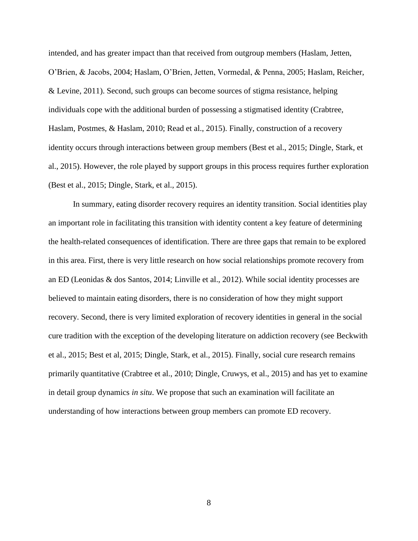intended, and has greater impact than that received from outgroup members (Haslam, Jetten, O'Brien, & Jacobs, 2004; Haslam, O'Brien, Jetten, Vormedal, & Penna, 2005; Haslam, Reicher, & Levine, 2011). Second, such groups can become sources of stigma resistance, helping individuals cope with the additional burden of possessing a stigmatised identity (Crabtree, Haslam, Postmes, & Haslam, 2010; Read et al., 2015). Finally, construction of a recovery identity occurs through interactions between group members (Best et al., 2015; Dingle, Stark, et al., 2015). However, the role played by support groups in this process requires further exploration (Best et al., 2015; Dingle, Stark, et al., 2015).

In summary, eating disorder recovery requires an identity transition. Social identities play an important role in facilitating this transition with identity content a key feature of determining the health-related consequences of identification. There are three gaps that remain to be explored in this area. First, there is very little research on how social relationships promote recovery from an ED (Leonidas & dos Santos, 2014; Linville et al., 2012). While social identity processes are believed to maintain eating disorders, there is no consideration of how they might support recovery. Second, there is very limited exploration of recovery identities in general in the social cure tradition with the exception of the developing literature on addiction recovery (see Beckwith et al., 2015; Best et al, 2015; Dingle, Stark, et al., 2015). Finally, social cure research remains primarily quantitative (Crabtree et al., 2010; Dingle, Cruwys, et al., 2015) and has yet to examine in detail group dynamics *in situ*. We propose that such an examination will facilitate an understanding of how interactions between group members can promote ED recovery.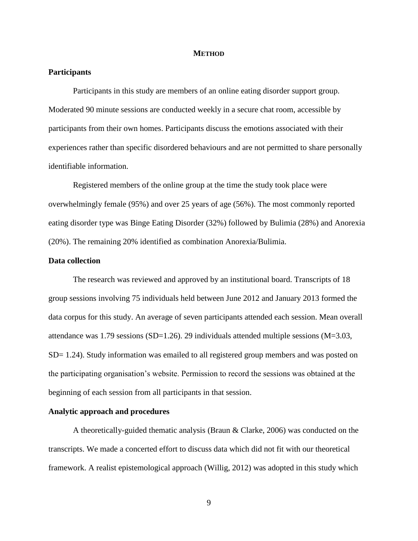#### **METHOD**

## **Participants**

Participants in this study are members of an online eating disorder support group. Moderated 90 minute sessions are conducted weekly in a secure chat room, accessible by participants from their own homes. Participants discuss the emotions associated with their experiences rather than specific disordered behaviours and are not permitted to share personally identifiable information.

Registered members of the online group at the time the study took place were overwhelmingly female (95%) and over 25 years of age (56%). The most commonly reported eating disorder type was Binge Eating Disorder (32%) followed by Bulimia (28%) and Anorexia (20%). The remaining 20% identified as combination Anorexia/Bulimia.

# **Data collection**

The research was reviewed and approved by an institutional board. Transcripts of 18 group sessions involving 75 individuals held between June 2012 and January 2013 formed the data corpus for this study. An average of seven participants attended each session. Mean overall attendance was 1.79 sessions (SD=1.26). 29 individuals attended multiple sessions (M=3.03, SD= 1.24). Study information was emailed to all registered group members and was posted on the participating organisation's website. Permission to record the sessions was obtained at the beginning of each session from all participants in that session.

#### **Analytic approach and procedures**

A theoretically-guided thematic analysis (Braun & Clarke, 2006) was conducted on the transcripts. We made a concerted effort to discuss data which did not fit with our theoretical framework. A realist epistemological approach (Willig, 2012) was adopted in this study which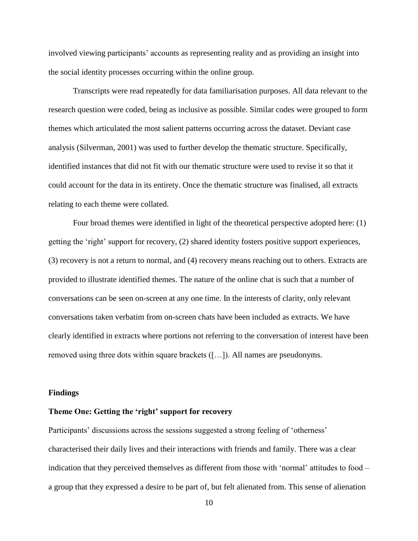involved viewing participants' accounts as representing reality and as providing an insight into the social identity processes occurring within the online group.

Transcripts were read repeatedly for data familiarisation purposes. All data relevant to the research question were coded, being as inclusive as possible. Similar codes were grouped to form themes which articulated the most salient patterns occurring across the dataset. Deviant case analysis (Silverman, 2001) was used to further develop the thematic structure. Specifically, identified instances that did not fit with our thematic structure were used to revise it so that it could account for the data in its entirety. Once the thematic structure was finalised, all extracts relating to each theme were collated.

Four broad themes were identified in light of the theoretical perspective adopted here: (1) getting the 'right' support for recovery, (2) shared identity fosters positive support experiences, (3) recovery is not a return to normal, and (4) recovery means reaching out to others. Extracts are provided to illustrate identified themes. The nature of the online chat is such that a number of conversations can be seen on-screen at any one time. In the interests of clarity, only relevant conversations taken verbatim from on-screen chats have been included as extracts. We have clearly identified in extracts where portions not referring to the conversation of interest have been removed using three dots within square brackets ([…]). All names are pseudonyms.

### **Findings**

## **Theme One: Getting the 'right' support for recovery**

Participants' discussions across the sessions suggested a strong feeling of 'otherness' characterised their daily lives and their interactions with friends and family. There was a clear indication that they perceived themselves as different from those with 'normal' attitudes to food – a group that they expressed a desire to be part of, but felt alienated from. This sense of alienation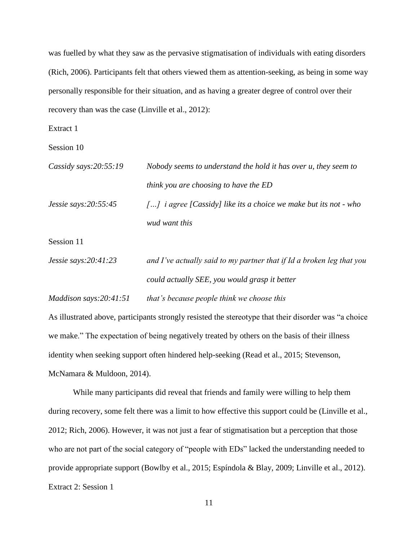was fuelled by what they saw as the pervasive stigmatisation of individuals with eating disorders (Rich, 2006). Participants felt that others viewed them as attention-seeking, as being in some way personally responsible for their situation, and as having a greater degree of control over their recovery than was the case (Linville et al., 2012):

Extract 1

Session 10

| Cassidy says: $20:55:19$ | Nobody seems to understand the hold it has over u, they seem to                     |
|--------------------------|-------------------------------------------------------------------------------------|
|                          | think you are choosing to have the ED                                               |
| $Jessie$ says: 20:55:45  | $\lceil \dots \rceil$ i agree [Cassidy] like its a choice we make but its not - who |
|                          | wud want this                                                                       |

Session 11

| Jessie says: $20:41:23$ | and I've actually said to my partner that if Id a broken leg that you |
|-------------------------|-----------------------------------------------------------------------|
|                         | could actually SEE, you would grasp it better                         |

*Maddison says:20:41:51 that's because people think we choose this* 

As illustrated above, participants strongly resisted the stereotype that their disorder was "a choice we make." The expectation of being negatively treated by others on the basis of their illness identity when seeking support often hindered help-seeking (Read et al., 2015; Stevenson, McNamara & Muldoon, 2014).

While many participants did reveal that friends and family were willing to help them during recovery, some felt there was a limit to how effective this support could be (Linville et al., 2012; Rich, 2006). However, it was not just a fear of stigmatisation but a perception that those who are not part of the social category of "people with EDs" lacked the understanding needed to provide appropriate support (Bowlby et al., 2015; Espíndola & Blay, 2009; Linville et al., 2012). Extract 2: Session 1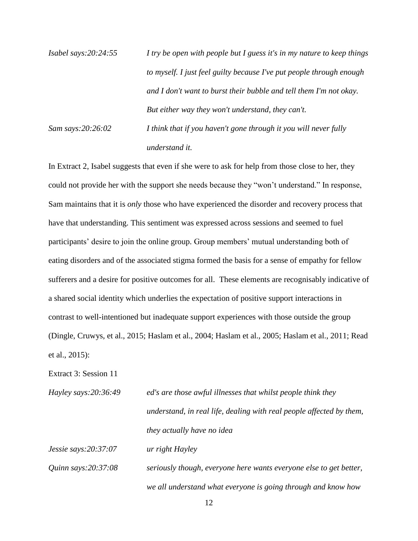| Isabel says: $20:24:55$ | I try be open with people but I guess it's in my nature to keep things |
|-------------------------|------------------------------------------------------------------------|
|                         | to myself. I just feel guilty because I've put people through enough   |
|                         | and I don't want to burst their bubble and tell them I'm not okay.     |
|                         | But either way they won't understand, they can't.                      |
| Sam says:20:26:02       | I think that if you haven't gone through it you will never fully       |
|                         | understand it.                                                         |

In Extract 2, Isabel suggests that even if she were to ask for help from those close to her, they could not provide her with the support she needs because they "won't understand." In response, Sam maintains that it is *only* those who have experienced the disorder and recovery process that have that understanding. This sentiment was expressed across sessions and seemed to fuel participants' desire to join the online group. Group members' mutual understanding both of eating disorders and of the associated stigma formed the basis for a sense of empathy for fellow sufferers and a desire for positive outcomes for all. These elements are recognisably indicative of a shared social identity which underlies the expectation of positive support interactions in contrast to well-intentioned but inadequate support experiences with those outside the group (Dingle, Cruwys, et al., 2015; Haslam et al., 2004; Haslam et al., 2005; Haslam et al., 2011; Read et al., 2015):

Extract 3: Session 11

*Hayley says:20:36:49 ed's are those awful illnesses that whilst people think they understand, in real life, dealing with real people affected by them, they actually have no idea* 

*Jessie says:20:37:07 ur right Hayley* 

*Quinn says:20:37:08 seriously though, everyone here wants everyone else to get better, we all understand what everyone is going through and know how*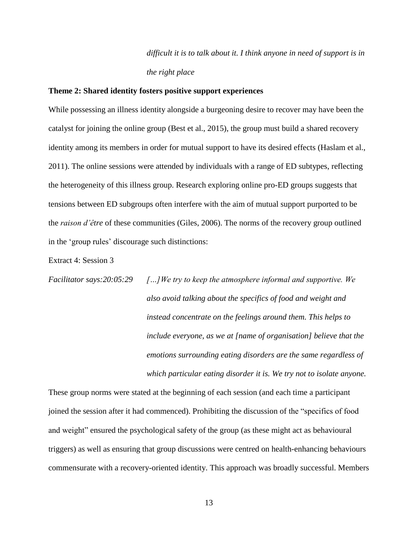*difficult it is to talk about it. I think anyone in need of support is in the right place* 

## **Theme 2: Shared identity fosters positive support experiences**

While possessing an illness identity alongside a burgeoning desire to recover may have been the catalyst for joining the online group (Best et al., 2015), the group must build a shared recovery identity among its members in order for mutual support to have its desired effects (Haslam et al., 2011). The online sessions were attended by individuals with a range of ED subtypes, reflecting the heterogeneity of this illness group. Research exploring online pro-ED groups suggests that tensions between ED subgroups often interfere with the aim of mutual support purported to be the *raison d'être* of these communities (Giles, 2006). The norms of the recovery group outlined in the 'group rules' discourage such distinctions:

Extract 4: Session 3

*Facilitator says:20:05:29 […]We try to keep the atmosphere informal and supportive. We also avoid talking about the specifics of food and weight and instead concentrate on the feelings around them. This helps to include everyone, as we at [name of organisation] believe that the emotions surrounding eating disorders are the same regardless of which particular eating disorder it is. We try not to isolate anyone.* 

These group norms were stated at the beginning of each session (and each time a participant joined the session after it had commenced). Prohibiting the discussion of the "specifics of food and weight" ensured the psychological safety of the group (as these might act as behavioural triggers) as well as ensuring that group discussions were centred on health-enhancing behaviours commensurate with a recovery-oriented identity. This approach was broadly successful. Members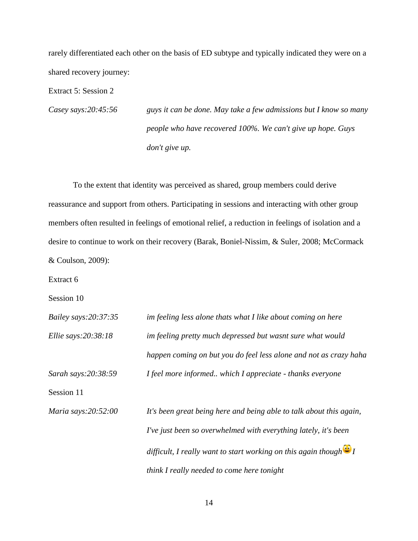rarely differentiated each other on the basis of ED subtype and typically indicated they were on a shared recovery journey:

Extract 5: Session 2

*Casey says:20:45:56 guys it can be done. May take a few admissions but I know so many people who have recovered 100%. We can't give up hope. Guys don't give up.* 

To the extent that identity was perceived as shared, group members could derive reassurance and support from others. Participating in sessions and interacting with other group members often resulted in feelings of emotional relief, a reduction in feelings of isolation and a desire to continue to work on their recovery (Barak, Boniel-Nissim, & Suler, 2008; McCormack & Coulson, 2009):

Extract 6

Session 10

| Bailey says:20:37:35   | im feeling less alone thats what I like about coming on here                |
|------------------------|-----------------------------------------------------------------------------|
| Ellie says: $20:38:18$ | im feeling pretty much depressed but wasnt sure what would                  |
|                        | happen coming on but you do feel less alone and not as crazy haha           |
| Sarah says: 20:38:59   | I feel more informed which I appreciate - thanks everyone                   |
| Session 11             |                                                                             |
| Maria says:20:52:00    | It's been great being here and being able to talk about this again,         |
|                        | I've just been so overwhelmed with everything lately, it's been             |
|                        | difficult, I really want to start working on this again though $\bigcirc$ I |
|                        | think I really needed to come here tonight                                  |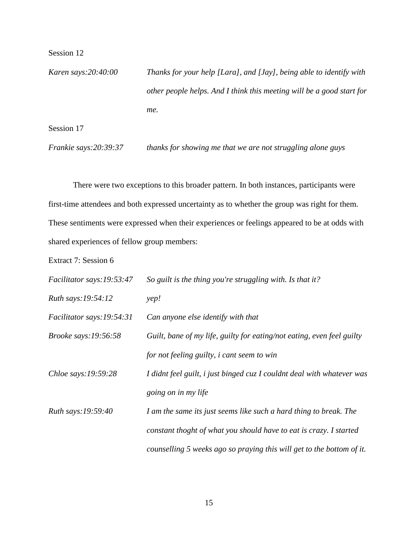Session 12

*Karen says:20:40:00 Thanks for your help [Lara], and [Jay], being able to identify with other people helps. And I think this meeting will be a good start for me.* 

Session 17

*Frankie says:20:39:37 thanks for showing me that we are not struggling alone guys*

There were two exceptions to this broader pattern. In both instances, participants were first-time attendees and both expressed uncertainty as to whether the group was right for them. These sentiments were expressed when their experiences or feelings appeared to be at odds with shared experiences of fellow group members:

Extract 7: Session 6

| Facilitator says: 19:53:47  | So guilt is the thing you're struggling with. Is that it?              |
|-----------------------------|------------------------------------------------------------------------|
| Ruth says:19:54:12          | yep!                                                                   |
| Facilitator says:19:54:31   | Can anyone else identify with that                                     |
| <i>Brooke says:19:56:58</i> | Guilt, bane of my life, guilty for eating/not eating, even feel guilty |
|                             | for not feeling guilty, <i>i</i> cant seem to win                      |
| Chloe says: $19:59:28$      | I didnt feel guilt, i just binged cuz I couldnt deal with whatever was |
|                             | going on in my life                                                    |
| Ruth says:19:59:40          | I am the same its just seems like such a hard thing to break. The      |
|                             | constant thoght of what you should have to eat is crazy. I started     |
|                             | counselling 5 weeks ago so praying this will get to the bottom of it.  |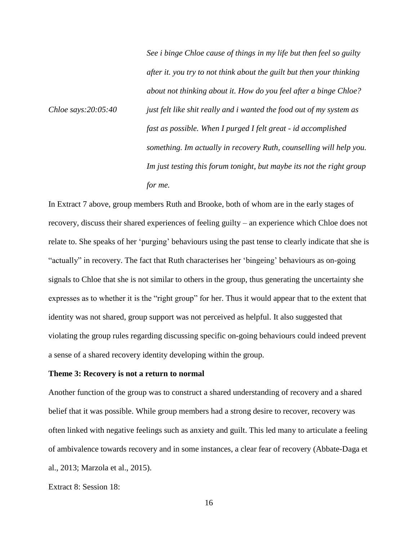*See i binge Chloe cause of things in my life but then feel so guilty after it. you try to not think about the guilt but then your thinking about not thinking about it. How do you feel after a binge Chloe? Chloe says:20:05:40 just felt like shit really and i wanted the food out of my system as fast as possible. When I purged I felt great - id accomplished something. Im actually in recovery Ruth, counselling will help you. Im just testing this forum tonight, but maybe its not the right group for me.* 

In Extract 7 above, group members Ruth and Brooke, both of whom are in the early stages of recovery, discuss their shared experiences of feeling guilty – an experience which Chloe does not relate to. She speaks of her 'purging' behaviours using the past tense to clearly indicate that she is "actually" in recovery. The fact that Ruth characterises her 'bingeing' behaviours as on-going signals to Chloe that she is not similar to others in the group, thus generating the uncertainty she expresses as to whether it is the "right group" for her. Thus it would appear that to the extent that identity was not shared, group support was not perceived as helpful. It also suggested that violating the group rules regarding discussing specific on-going behaviours could indeed prevent a sense of a shared recovery identity developing within the group.

## **Theme 3: Recovery is not a return to normal**

Another function of the group was to construct a shared understanding of recovery and a shared belief that it was possible. While group members had a strong desire to recover, recovery was often linked with negative feelings such as anxiety and guilt. This led many to articulate a feeling of ambivalence towards recovery and in some instances, a clear fear of recovery (Abbate-Daga et al., 2013; Marzola et al., 2015).

Extract 8: Session 18: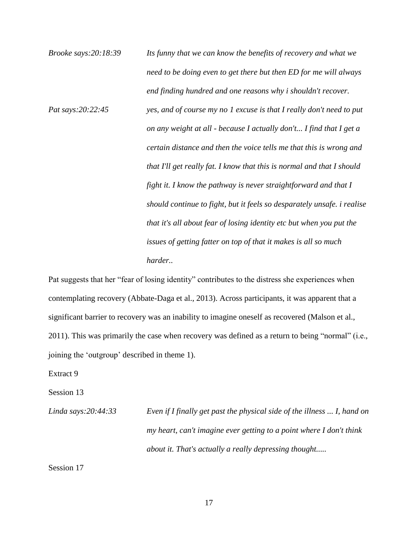*Brooke says:20:18:39 Its funny that we can know the benefits of recovery and what we need to be doing even to get there but then ED for me will always end finding hundred and one reasons why i shouldn't recover. Pat says:20:22:45 yes, and of course my no 1 excuse is that I really don't need to put on any weight at all - because I actually don't... I find that I get a certain distance and then the voice tells me that this is wrong and that I'll get really fat. I know that this is normal and that I should fight it. I know the pathway is never straightforward and that I should continue to fight, but it feels so desparately unsafe. i realise that it's all about fear of losing identity etc but when you put the issues of getting fatter on top of that it makes is all so much harder..* 

Pat suggests that her "fear of losing identity" contributes to the distress she experiences when contemplating recovery (Abbate-Daga et al., 2013). Across participants, it was apparent that a significant barrier to recovery was an inability to imagine oneself as recovered (Malson et al., 2011). This was primarily the case when recovery was defined as a return to being "normal" (i.e., joining the 'outgroup' described in theme 1).

Extract 9

Session 13

*Linda says:20:44:33 Even if I finally get past the physical side of the illness ... I, hand on my heart, can't imagine ever getting to a point where I don't think about it. That's actually a really depressing thought.....* 

Session 17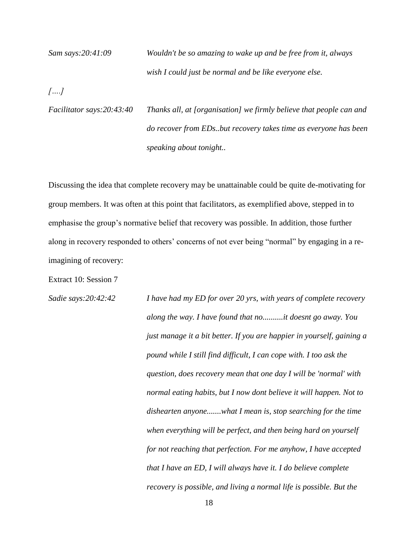*Sam says:20:41:09 Wouldn't be so amazing to wake up and be free from it, always wish I could just be normal and be like everyone else.* 

*[….]* 

*Facilitator says:20:43:40 Thanks all, at [organisation] we firmly believe that people can and do recover from EDs..but recovery takes time as everyone has been speaking about tonight..*

Discussing the idea that complete recovery may be unattainable could be quite de-motivating for group members. It was often at this point that facilitators, as exemplified above, stepped in to emphasise the group's normative belief that recovery was possible. In addition, those further along in recovery responded to others' concerns of not ever being "normal" by engaging in a reimagining of recovery:

Extract 10: Session 7

*Sadie says:20:42:42 I have had my ED for over 20 yrs, with years of complete recovery along the way. I have found that no..........it doesnt go away. You just manage it a bit better. If you are happier in yourself, gaining a pound while I still find difficult, I can cope with. I too ask the question, does recovery mean that one day I will be 'normal' with normal eating habits, but I now dont believe it will happen. Not to dishearten anyone.......what I mean is, stop searching for the time when everything will be perfect, and then being hard on yourself for not reaching that perfection. For me anyhow, I have accepted that I have an ED, I will always have it. I do believe complete recovery is possible, and living a normal life is possible. But the*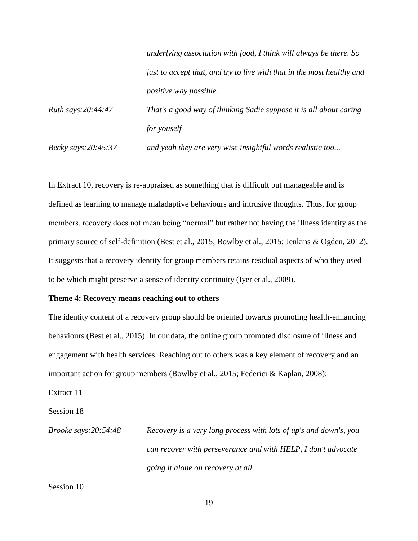|                            | underlying association with food, I think will always be there. So     |
|----------------------------|------------------------------------------------------------------------|
|                            | just to accept that, and try to live with that in the most healthy and |
|                            | <i>positive way possible.</i>                                          |
| Ruth says: 20:44:47        | That's a good way of thinking Sadie suppose it is all about caring     |
|                            | for youself                                                            |
| <i>Becky says:20:45:37</i> | and yeah they are very wise insightful words realistic too             |

In Extract 10, recovery is re-appraised as something that is difficult but manageable and is defined as learning to manage maladaptive behaviours and intrusive thoughts. Thus, for group members, recovery does not mean being "normal" but rather not having the illness identity as the primary source of self-definition (Best et al., 2015; Bowlby et al., 2015; Jenkins & Ogden, 2012). It suggests that a recovery identity for group members retains residual aspects of who they used to be which might preserve a sense of identity continuity (Iyer et al., 2009).

## **Theme 4: Recovery means reaching out to others**

The identity content of a recovery group should be oriented towards promoting health-enhancing behaviours (Best et al., 2015). In our data, the online group promoted disclosure of illness and engagement with health services. Reaching out to others was a key element of recovery and an important action for group members (Bowlby et al., 2015; Federici & Kaplan, 2008):

Extract 11

Session 18

*Brooke says:20:54:48 Recovery is a very long process with lots of up's and down's, you can recover with perseverance and with HELP, I don't advocate going it alone on recovery at all*

Session 10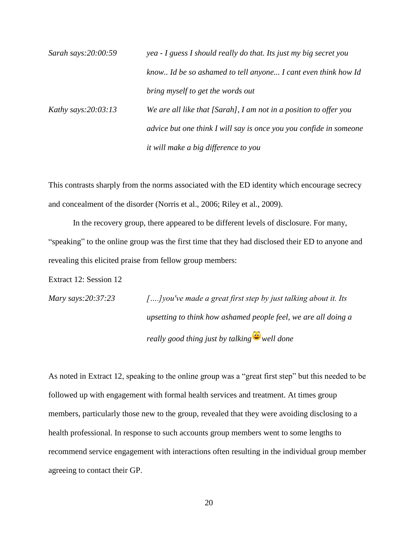| Sarah says:20:00:59    | yea - I guess I should really do that. Its just my big secret you  |
|------------------------|--------------------------------------------------------------------|
|                        | know Id be so ashamed to tell anyone I cant even think how Id      |
|                        | bring myself to get the words out                                  |
| Kathy says: $20:03:13$ | We are all like that [Sarah], I am not in a position to offer you  |
|                        | advice but one think I will say is once you you confide in someone |
|                        | it will make a big difference to you                               |

This contrasts sharply from the norms associated with the ED identity which encourage secrecy and concealment of the disorder (Norris et al., 2006; Riley et al., 2009).

In the recovery group, there appeared to be different levels of disclosure. For many, "speaking" to the online group was the first time that they had disclosed their ED to anyone and revealing this elicited praise from fellow group members:

Extract 12: Session 12

| Mary says: $20:37:23$ | $[]$ you've made a great first step by just talking about it. Its |
|-----------------------|-------------------------------------------------------------------|
|                       | upsetting to think how ashamed people feel, we are all doing a    |
|                       | really good thing just by talking $\bigcirc$ well done            |

As noted in Extract 12, speaking to the online group was a "great first step" but this needed to be followed up with engagement with formal health services and treatment. At times group members, particularly those new to the group, revealed that they were avoiding disclosing to a health professional. In response to such accounts group members went to some lengths to recommend service engagement with interactions often resulting in the individual group member agreeing to contact their GP.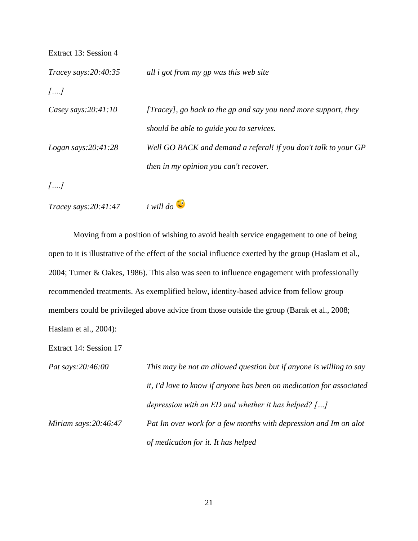| Extract 13: Session 4  |                                                                 |
|------------------------|-----------------------------------------------------------------|
| Tracey says: 20:40:35  | all <i>i</i> got from my gp was this web site                   |
| $[\ldots]$             |                                                                 |
| Casey says: $20:41:10$ | [Tracey], go back to the gp and say you need more support, they |
|                        | should be able to guide you to services.                        |
| Logan says: $20:41:28$ | Well GO BACK and demand a referal! if you don't talk to your GP |
|                        | then in my opinion you can't recover.                           |
|                        |                                                                 |

*[….]*

*Tracey says:20:41:47 i will do* 



Moving from a position of wishing to avoid health service engagement to one of being open to it is illustrative of the effect of the social influence exerted by the group (Haslam et al., 2004; Turner & Oakes, 1986). This also was seen to influence engagement with professionally recommended treatments. As exemplified below, identity-based advice from fellow group members could be privileged above advice from those outside the group (Barak et al., 2008; Haslam et al., 2004):

Extract 14: Session 17

| Pat says:20:46:00       | This may be not an allowed question but if anyone is willing to say  |
|-------------------------|----------------------------------------------------------------------|
|                         | it, I'd love to know if anyone has been on medication for associated |
|                         | depression with an ED and whether it has helped? $[]$                |
| Miriam says: $20:46:47$ | Pat Im over work for a few months with depression and Im on alot     |
|                         | of medication for it. It has helped                                  |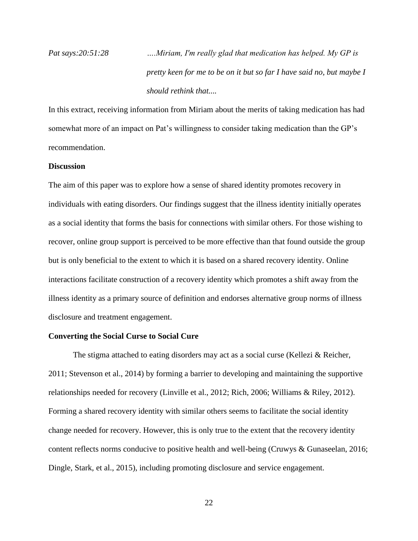*Pat says:20:51:28 ….Miriam, I'm really glad that medication has helped. My GP is pretty keen for me to be on it but so far I have said no, but maybe I should rethink that....* 

In this extract, receiving information from Miriam about the merits of taking medication has had somewhat more of an impact on Pat's willingness to consider taking medication than the GP's recommendation.

# **Discussion**

The aim of this paper was to explore how a sense of shared identity promotes recovery in individuals with eating disorders. Our findings suggest that the illness identity initially operates as a social identity that forms the basis for connections with similar others. For those wishing to recover, online group support is perceived to be more effective than that found outside the group but is only beneficial to the extent to which it is based on a shared recovery identity. Online interactions facilitate construction of a recovery identity which promotes a shift away from the illness identity as a primary source of definition and endorses alternative group norms of illness disclosure and treatment engagement.

## **Converting the Social Curse to Social Cure**

The stigma attached to eating disorders may act as a social curse (Kellezi & Reicher, 2011; Stevenson et al., 2014) by forming a barrier to developing and maintaining the supportive relationships needed for recovery (Linville et al., 2012; Rich, 2006; Williams & Riley, 2012). Forming a shared recovery identity with similar others seems to facilitate the social identity change needed for recovery. However, this is only true to the extent that the recovery identity content reflects norms conducive to positive health and well-being (Cruwys & Gunaseelan, 2016; Dingle, Stark, et al., 2015), including promoting disclosure and service engagement.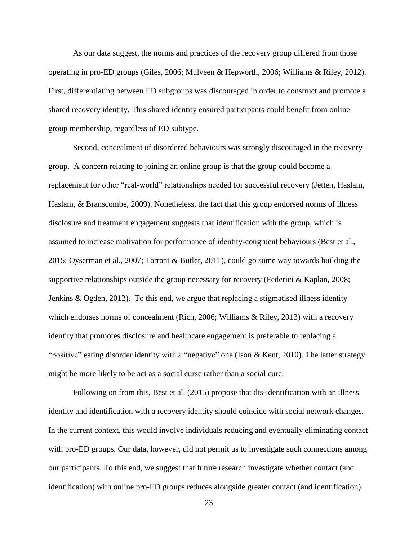As our data suggest, the norms and practices of the recovery group differed from those operating in pro-ED groups (Giles, 2006; Mulveen & Hepworth, 2006; Williams & Riley, 2012). First, differentiating between ED subgroups was discouraged in order to construct and promote a shared recovery identity. This shared identity ensured participants could benefit from online group membership, regardless of ED subtype.

Second, concealment of disordered behaviours was strongly discouraged in the recovery group. A concern relating to joining an online group is that the group could become a replacement for other "real-world" relationships needed for successful recovery (Jetten, Haslam, Haslam, & Branscombe, 2009). Nonetheless, the fact that this group endorsed norms of illness disclosure and treatment engagement suggests that identification with the group, which is assumed to increase motivation for performance of identity-congruent behaviours (Best et al., 2015; Oyserman et al., 2007; Tarrant & Butler, 2011), could go some way towards building the supportive relationships outside the group necessary for recovery (Federici & Kaplan, 2008; Jenkins & Ogden, 2012). To this end, we argue that replacing a stigmatised illness identity which endorses norms of concealment (Rich, 2006; Williams & Riley, 2013) with a recovery identity that promotes disclosure and healthcare engagement is preferable to replacing a "positive" eating disorder identity with a "negative" one (Ison & Kent, 2010). The latter strategy might be more likely to be act as a social curse rather than a social cure.

Following on from this, Best et al. (2015) propose that dis-identification with an illness identity and identification with a recovery identity should coincide with social network changes. In the current context, this would involve individuals reducing and eventually eliminating contact with pro-ED groups. Our data, however, did not permit us to investigate such connections among our participants. To this end, we suggest that future research investigate whether contact (and identification) with online pro-ED groups reduces alongside greater contact (and identification)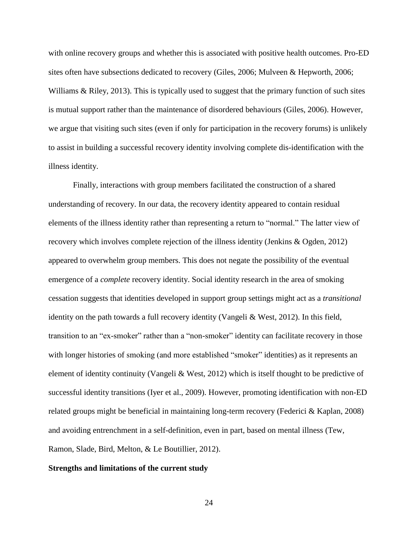with online recovery groups and whether this is associated with positive health outcomes. Pro-ED sites often have subsections dedicated to recovery (Giles, 2006; Mulveen & Hepworth, 2006; Williams & Riley, 2013). This is typically used to suggest that the primary function of such sites is mutual support rather than the maintenance of disordered behaviours (Giles, 2006). However, we argue that visiting such sites (even if only for participation in the recovery forums) is unlikely to assist in building a successful recovery identity involving complete dis-identification with the illness identity.

Finally, interactions with group members facilitated the construction of a shared understanding of recovery. In our data, the recovery identity appeared to contain residual elements of the illness identity rather than representing a return to "normal." The latter view of recovery which involves complete rejection of the illness identity (Jenkins & Ogden, 2012) appeared to overwhelm group members. This does not negate the possibility of the eventual emergence of a *complete* recovery identity. Social identity research in the area of smoking cessation suggests that identities developed in support group settings might act as a *transitional* identity on the path towards a full recovery identity (Vangeli & West, 2012). In this field, transition to an "ex-smoker" rather than a "non-smoker" identity can facilitate recovery in those with longer histories of smoking (and more established "smoker" identities) as it represents an element of identity continuity (Vangeli & West, 2012) which is itself thought to be predictive of successful identity transitions (Iyer et al., 2009). However, promoting identification with non-ED related groups might be beneficial in maintaining long-term recovery (Federici & Kaplan, 2008) and avoiding entrenchment in a self-definition, even in part, based on mental illness (Tew, Ramon, Slade, Bird, Melton, & Le Boutillier, 2012).

#### **Strengths and limitations of the current study**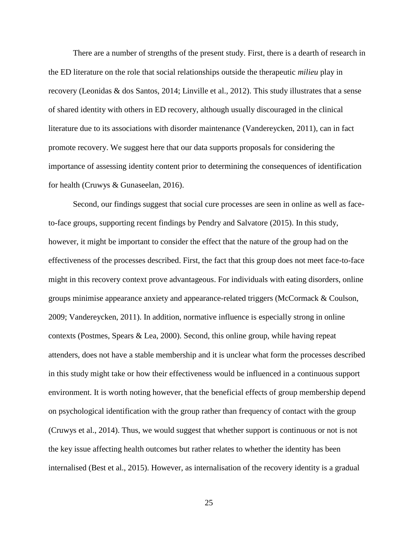There are a number of strengths of the present study. First, there is a dearth of research in the ED literature on the role that social relationships outside the therapeutic *milieu* play in recovery (Leonidas & dos Santos, 2014; Linville et al., 2012). This study illustrates that a sense of shared identity with others in ED recovery, although usually discouraged in the clinical literature due to its associations with disorder maintenance (Vandereycken, 2011), can in fact promote recovery. We suggest here that our data supports proposals for considering the importance of assessing identity content prior to determining the consequences of identification for health (Cruwys & Gunaseelan, 2016).

Second, our findings suggest that social cure processes are seen in online as well as faceto-face groups, supporting recent findings by Pendry and Salvatore (2015). In this study, however, it might be important to consider the effect that the nature of the group had on the effectiveness of the processes described. First, the fact that this group does not meet face-to-face might in this recovery context prove advantageous. For individuals with eating disorders, online groups minimise appearance anxiety and appearance-related triggers (McCormack & Coulson, 2009; Vandereycken, 2011). In addition, normative influence is especially strong in online contexts (Postmes, Spears & Lea, 2000). Second, this online group, while having repeat attenders, does not have a stable membership and it is unclear what form the processes described in this study might take or how their effectiveness would be influenced in a continuous support environment. It is worth noting however, that the beneficial effects of group membership depend on psychological identification with the group rather than frequency of contact with the group (Cruwys et al., 2014). Thus, we would suggest that whether support is continuous or not is not the key issue affecting health outcomes but rather relates to whether the identity has been internalised (Best et al., 2015). However, as internalisation of the recovery identity is a gradual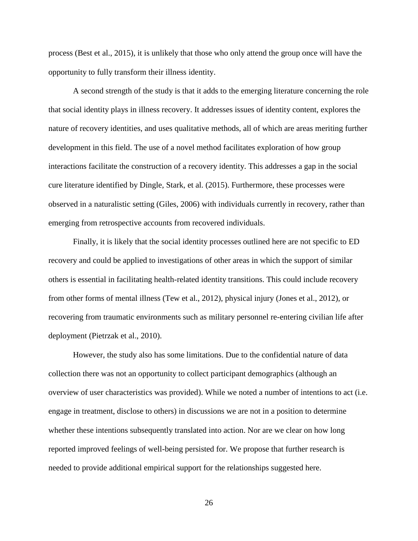process (Best et al., 2015), it is unlikely that those who only attend the group once will have the opportunity to fully transform their illness identity.

A second strength of the study is that it adds to the emerging literature concerning the role that social identity plays in illness recovery. It addresses issues of identity content, explores the nature of recovery identities, and uses qualitative methods, all of which are areas meriting further development in this field. The use of a novel method facilitates exploration of how group interactions facilitate the construction of a recovery identity. This addresses a gap in the social cure literature identified by Dingle, Stark, et al. (2015). Furthermore, these processes were observed in a naturalistic setting (Giles, 2006) with individuals currently in recovery, rather than emerging from retrospective accounts from recovered individuals.

Finally, it is likely that the social identity processes outlined here are not specific to ED recovery and could be applied to investigations of other areas in which the support of similar others is essential in facilitating health-related identity transitions. This could include recovery from other forms of mental illness (Tew et al., 2012), physical injury (Jones et al., 2012), or recovering from traumatic environments such as military personnel re-entering civilian life after deployment (Pietrzak et al., 2010).

However, the study also has some limitations. Due to the confidential nature of data collection there was not an opportunity to collect participant demographics (although an overview of user characteristics was provided). While we noted a number of intentions to act (i.e. engage in treatment, disclose to others) in discussions we are not in a position to determine whether these intentions subsequently translated into action. Nor are we clear on how long reported improved feelings of well-being persisted for. We propose that further research is needed to provide additional empirical support for the relationships suggested here.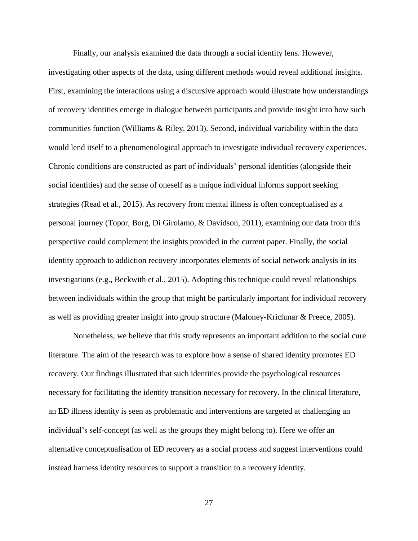Finally, our analysis examined the data through a social identity lens. However, investigating other aspects of the data, using different methods would reveal additional insights. First, examining the interactions using a discursive approach would illustrate how understandings of recovery identities emerge in dialogue between participants and provide insight into how such communities function (Williams & Riley, 2013). Second, individual variability within the data would lend itself to a phenomenological approach to investigate individual recovery experiences. Chronic conditions are constructed as part of individuals' personal identities (alongside their social identities) and the sense of oneself as a unique individual informs support seeking strategies (Read et al., 2015). As recovery from mental illness is often conceptualised as a personal journey (Topor, Borg, Di Girolamo, & Davidson, 2011), examining our data from this perspective could complement the insights provided in the current paper. Finally, the social identity approach to addiction recovery incorporates elements of social network analysis in its investigations (e.g., Beckwith et al., 2015). Adopting this technique could reveal relationships between individuals within the group that might be particularly important for individual recovery as well as providing greater insight into group structure (Maloney-Krichmar & Preece, 2005).

Nonetheless, we believe that this study represents an important addition to the social cure literature. The aim of the research was to explore how a sense of shared identity promotes ED recovery. Our findings illustrated that such identities provide the psychological resources necessary for facilitating the identity transition necessary for recovery. In the clinical literature, an ED illness identity is seen as problematic and interventions are targeted at challenging an individual's self-concept (as well as the groups they might belong to). Here we offer an alternative conceptualisation of ED recovery as a social process and suggest interventions could instead harness identity resources to support a transition to a recovery identity.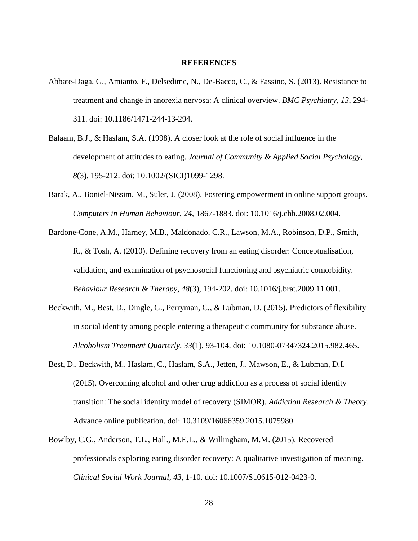#### **REFERENCES**

- Abbate-Daga, G., Amianto, F., Delsedime, N., De-Bacco, C., & Fassino, S. (2013). Resistance to treatment and change in anorexia nervosa: A clinical overview. *BMC Psychiatry*, *13*, 294- 311. doi: 10.1186/1471-244-13-294.
- Balaam, B.J., & Haslam, S.A. (1998). A closer look at the role of social influence in the development of attitudes to eating. *Journal of Community & Applied Social Psychology*, *8*(3), 195-212. doi: 10.1002/(SICI)1099-1298.
- Barak, A., Boniel-Nissim, M., Suler, J. (2008). Fostering empowerment in online support groups. *Computers in Human Behaviour*, *24*, 1867-1883. doi: 10.1016/j.chb.2008.02.004.
- Bardone-Cone, A.M., Harney, M.B., Maldonado, C.R., Lawson, M.A., Robinson, D.P., Smith, R., & Tosh, A. (2010). Defining recovery from an eating disorder: Conceptualisation, validation, and examination of psychosocial functioning and psychiatric comorbidity. *Behaviour Research & Therapy*, *48*(3), 194-202. doi: 10.1016/j.brat.2009.11.001.
- Beckwith, M., Best, D., Dingle, G., Perryman, C., & Lubman, D. (2015). Predictors of flexibility in social identity among people entering a therapeutic community for substance abuse. *Alcoholism Treatment Quarterly*, *33*(1), 93-104. doi: 10.1080-07347324.2015.982.465.
- Best, D., Beckwith, M., Haslam, C., Haslam, S.A., Jetten, J., Mawson, E., & Lubman, D.I. (2015). Overcoming alcohol and other drug addiction as a process of social identity transition: The social identity model of recovery (SIMOR). *Addiction Research & Theory*. Advance online publication. doi: 10.3109/16066359.2015.1075980.
- Bowlby, C.G., Anderson, T.L., Hall., M.E.L., & Willingham, M.M. (2015). Recovered professionals exploring eating disorder recovery: A qualitative investigation of meaning. *Clinical Social Work Journal*, *43*, 1-10. doi: 10.1007/S10615-012-0423-0.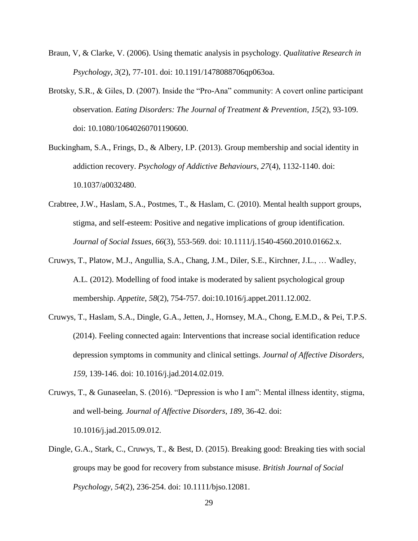- Braun, V, & Clarke, V. (2006). Using thematic analysis in psychology. *Qualitative Research in Psychology*, *3*(2), 77-101. doi: 10.1191/1478088706qp063oa.
- Brotsky, S.R., & Giles, D. (2007). Inside the "Pro-Ana" community: A covert online participant observation. *Eating Disorders: The Journal of Treatment & Prevention*, *15*(2), 93-109. doi: 10.1080/10640260701190600.
- Buckingham, S.A., Frings, D., & Albery, I.P. (2013). Group membership and social identity in addiction recovery. *Psychology of Addictive Behaviours*, *27*(4), 1132-1140. doi: 10.1037/a0032480.
- Crabtree, J.W., Haslam, S.A., Postmes, T., & Haslam, C. (2010). Mental health support groups, stigma, and self-esteem: Positive and negative implications of group identification. *Journal of Social Issues*, *66*(3), 553-569. doi: 10.1111/j.1540-4560.2010.01662.x.
- Cruwys, T., Platow, M.J., Angullia, S.A., Chang, J.M., Diler, S.E., Kirchner, J.L., … Wadley, A.L. (2012). Modelling of food intake is moderated by salient psychological group membership. *Appetite*, *58*(2), 754-757. doi:10.1016/j.appet.2011.12.002.
- Cruwys, T., Haslam, S.A., Dingle, G.A., Jetten, J., Hornsey, M.A., Chong, E.M.D., & Pei, T.P.S. (2014). Feeling connected again: Interventions that increase social identification reduce depression symptoms in community and clinical settings. *Journal of Affective Disorders*, *159*, 139-146. doi: 10.1016/j.jad.2014.02.019.
- Cruwys, T., & Gunaseelan, S. (2016). "Depression is who I am": Mental illness identity, stigma, and well-being. *Journal of Affective Disorders*, *189*, 36-42. doi: 10.1016/j.jad.2015.09.012.
- Dingle, G.A., Stark, C., Cruwys, T., & Best, D. (2015). Breaking good: Breaking ties with social groups may be good for recovery from substance misuse. *British Journal of Social Psychology*, *54*(2), 236-254. doi: 10.1111/bjso.12081.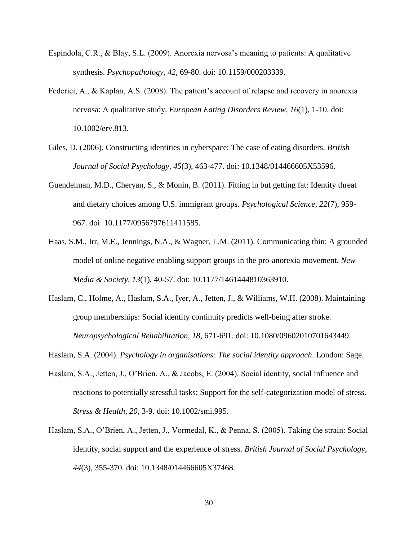- Espíndola, C.R., & Blay, S.L. (2009). Anorexia nervosa's meaning to patients: A qualitative synthesis. *Psychopathology*, *42*, 69-80. doi: 10.1159/000203339.
- Federici, A., & Kaplan, A.S. (2008). The patient's account of relapse and recovery in anorexia nervosa: A qualitative study. *European Eating Disorders Review*, *16*(1), 1-10. doi: 10.1002/erv.813.
- Giles, D. (2006). Constructing identities in cyberspace: The case of eating disorders. *British Journal of Social Psychology*, *45*(3), 463-477. doi: 10.1348/014466605X53596.
- Guendelman, M.D., Cheryan, S., & Monin, B. (2011). Fitting in but getting fat: Identity threat and dietary choices among U.S. immigrant groups. *Psychological Science*, *22*(7), 959- 967. doi: 10.1177/0956797611411585.
- Haas, S.M., Irr, M.E., Jennings, N.A., & Wagner, L.M. (2011). Communicating thin: A grounded model of online negative enabling support groups in the pro-anorexia movement. *New Media & Society*, *13*(1), 40-57. doi: 10.1177/1461444810363910.
- Haslam, C., Holme, A., Haslam, S.A., Iyer, A., Jetten, J., & Williams, W.H. (2008). Maintaining group memberships: Social identity continuity predicts well-being after stroke. *Neuropsychological Rehabilitation*, *18*, 671-691. doi: 10.1080/09602010701643449.
- Haslam, S.A. (2004). *Psychology in organisations: The social identity approach*. London: Sage.
- Haslam, S.A., Jetten, J., O'Brien, A., & Jacobs, E. (2004). Social identity, social influence and reactions to potentially stressful tasks: Support for the self-categorization model of stress. *Stress & Health*, *20*, 3-9. doi: 10.1002/smi.995.
- Haslam, S.A., O'Brien, A., Jetten, J., Vormedal, K., & Penna, S. (2005). Taking the strain: Social identity, social support and the experience of stress. *British Journal of Social Psychology*, *44*(3), 355-370. doi: 10.1348/014466605X37468.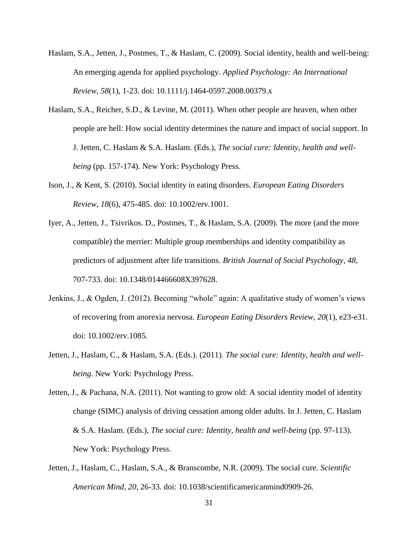- Haslam, S.A., Jetten, J., Postmes, T., & Haslam, C. (2009). Social identity, health and well-being: An emerging agenda for applied psychology. *Applied Psychology: An International Review*, *58*(1), 1-23. doi: 10.1111/j.1464-0597.2008.00379.x
- Haslam, S.A., Reicher, S.D., & Levine, M. (2011). When other people are heaven, when other people are hell: How social identity determines the nature and impact of social support. In J. Jetten, C. Haslam & S.A. Haslam. (Eds.), *The social cure: Identity, health and wellbeing* (pp. 157-174). New York: Psychology Press.
- Ison, J., & Kent, S. (2010). Social identity in eating disorders. *European Eating Disorders Review*, *18*(6), 475-485. doi: 10.1002/erv.1001.
- Iyer, A., Jetten, J., Tsivrikos. D., Postmes, T., & Haslam, S.A. (2009). The more (and the more compatible) the merrier: Multiple group memberships and identity compatibility as predictors of adjustment after life transitions. *British Journal of Social Psychology*, *48*, 707-733. doi: 10.1348/014466608X397628.
- Jenkins, J., & Ogden, J. (2012). Becoming "whole" again: A qualitative study of women's views of recovering from anorexia nervosa. *European Eating Disorders Review*, *20*(1), e23-e31. doi: 10.1002/erv.1085.
- Jetten, J., Haslam, C., & Haslam, S.A. (Eds.). (2011). *The social cure: Identity, health and wellbeing*. New York: Psychology Press.

Jetten, J., & Pachana, N.A. (2011). Not wanting to grow old: A social identity model of identity change (SIMC) analysis of driving cessation among older adults. In J. Jetten, C. Haslam & S.A. Haslam. (Eds.), *The social cure: Identity, health and well-being* (pp. 97-113). New York: Psychology Press.

Jetten, J., Haslam, C., Haslam, S.A., & Branscombe, N.R. (2009). The social cure. *Scientific American Mind*, *20*, 26-33. doi: 10.1038/scientificamericanmind0909-26.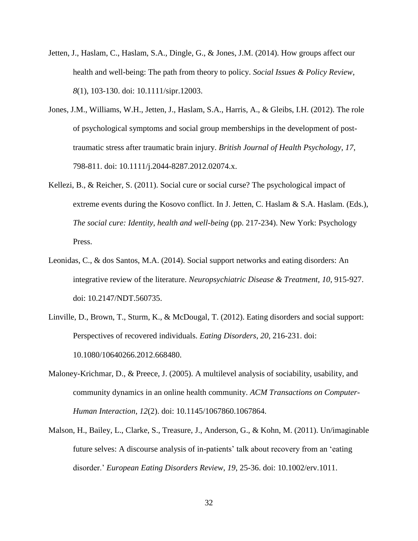- Jetten, J., Haslam, C., Haslam, S.A., Dingle, G., & Jones, J.M. (2014). How groups affect our health and well-being: The path from theory to policy. *Social Issues & Policy Review*, *8*(1), 103-130. doi: 10.1111/sipr.12003.
- Jones, J.M., Williams, W.H., Jetten, J., Haslam, S.A., Harris, A., & Gleibs, I.H. (2012). The role of psychological symptoms and social group memberships in the development of posttraumatic stress after traumatic brain injury. *British Journal of Health Psychology*, *17*, 798-811. doi: 10.1111/j.2044-8287.2012.02074.x.
- Kellezi, B., & Reicher, S. (2011). Social cure or social curse? The psychological impact of extreme events during the Kosovo conflict. In J. Jetten, C. Haslam & S.A. Haslam. (Eds.), *The social cure: Identity, health and well-being (pp. 217-234). New York: Psychology* Press.
- Leonidas, C., & dos Santos, M.A. (2014). Social support networks and eating disorders: An integrative review of the literature. *Neuropsychiatric Disease & Treatment*, *10*, 915-927. doi: 10.2147/NDT.560735.
- Linville, D., Brown, T., Sturm, K., & McDougal, T. (2012). Eating disorders and social support: Perspectives of recovered individuals. *Eating Disorders*, *20*, 216-231. doi: 10.1080/10640266.2012.668480.
- Maloney-Krichmar, D., & Preece, J. (2005). A multilevel analysis of sociability, usability, and community dynamics in an online health community. *ACM Transactions on Computer-Human Interaction*, *12*(2). doi: 10.1145/1067860.1067864.
- Malson, H., Bailey, L., Clarke, S., Treasure, J., Anderson, G., & Kohn, M. (2011). Un/imaginable future selves: A discourse analysis of in-patients' talk about recovery from an 'eating disorder.' *European Eating Disorders Review*, *19*, 25-36. doi: 10.1002/erv.1011.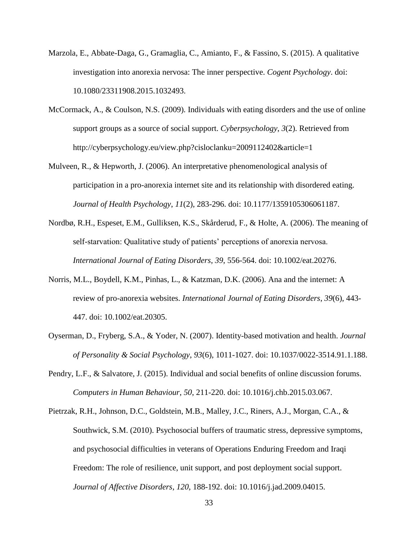- Marzola, E., Abbate-Daga, G., Gramaglia, C., Amianto, F., & Fassino, S. (2015). A qualitative investigation into anorexia nervosa: The inner perspective. *Cogent Psychology*. doi: 10.1080/23311908.2015.1032493.
- McCormack, A., & Coulson, N.S. (2009). Individuals with eating disorders and the use of online support groups as a source of social support. *Cyberpsychology*, *3*(2). Retrieved from http://cyberpsychology.eu/view.php?cisloclanku=2009112402&article=1
- Mulveen, R., & Hepworth, J. (2006). An interpretative phenomenological analysis of participation in a pro-anorexia internet site and its relationship with disordered eating. *Journal of Health Psychology*, *11*(2), 283-296. doi: 10.1177/1359105306061187.
- Nordbø, R.H., Espeset, E.M., Gulliksen, K.S., Skårderud, F., & Holte, A. (2006). The meaning of self-starvation: Qualitative study of patients' perceptions of anorexia nervosa. *International Journal of Eating Disorders*, *39*, 556-564. doi: 10.1002/eat.20276.
- Norris, M.L., Boydell, K.M., Pinhas, L., & Katzman, D.K. (2006). Ana and the internet: A review of pro-anorexia websites. *International Journal of Eating Disorders*, *39*(6), 443- 447. doi: 10.1002/eat.20305.
- Oyserman, D., Fryberg, S.A., & Yoder, N. (2007). Identity-based motivation and health. *Journal of Personality & Social Psychology*, *93*(6), 1011-1027. doi: 10.1037/0022-3514.91.1.188.
- Pendry, L.F., & Salvatore, J. (2015). Individual and social benefits of online discussion forums. *Computers in Human Behaviour*, *50*, 211-220. doi: 10.1016/j.chb.2015.03.067.
- Pietrzak, R.H., Johnson, D.C., Goldstein, M.B., Malley, J.C., Riners, A.J., Morgan, C.A., & Southwick, S.M. (2010). Psychosocial buffers of traumatic stress, depressive symptoms, and psychosocial difficulties in veterans of Operations Enduring Freedom and Iraqi Freedom: The role of resilience, unit support, and post deployment social support. *Journal of Affective Disorders*, *120*, 188-192. doi: 10.1016/j.jad.2009.04015.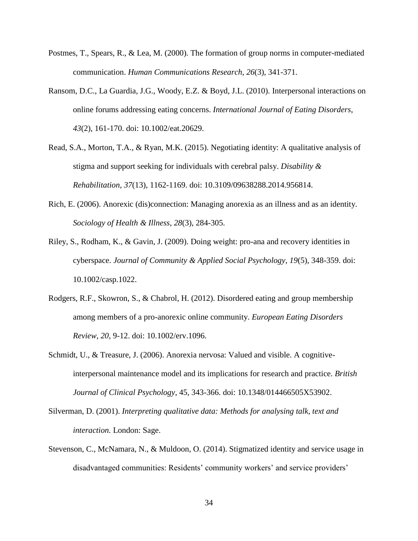- Postmes, T., Spears, R., & Lea, M. (2000). The formation of group norms in computer-mediated communication. *Human Communications Research*, *26*(3), 341-371.
- Ransom, D.C., La Guardia, J.G., Woody, E.Z. & Boyd, J.L. (2010). Interpersonal interactions on online forums addressing eating concerns. *International Journal of Eating Disorders*, *43*(2), 161-170. doi: 10.1002/eat.20629.
- Read, S.A., Morton, T.A., & Ryan, M.K. (2015). Negotiating identity: A qualitative analysis of stigma and support seeking for individuals with cerebral palsy. *Disability & Rehabilitation*, *37*(13), 1162-1169. doi: 10.3109/09638288.2014.956814.
- Rich, E. (2006). Anorexic (dis)connection: Managing anorexia as an illness and as an identity. *Sociology of Health & Illness*, *28*(3), 284-305.
- Riley, S., Rodham, K., & Gavin, J. (2009). Doing weight: pro-ana and recovery identities in cyberspace. *Journal of Community & Applied Social Psychology*, *19*(5), 348-359. doi: 10.1002/casp.1022.
- Rodgers, R.F., Skowron, S., & Chabrol, H. (2012). Disordered eating and group membership among members of a pro-anorexic online community. *European Eating Disorders Review*, *20*, 9-12. doi: 10.1002/erv.1096.
- Schmidt, U., & Treasure, J. (2006). Anorexia nervosa: Valued and visible. A cognitiveinterpersonal maintenance model and its implications for research and practice. *British Journal of Clinical Psychology*, 45, 343-366. doi: 10.1348/014466505X53902.
- Silverman, D. (2001). *Interpreting qualitative data: Methods for analysing talk, text and interaction.* London: Sage.
- Stevenson, C., McNamara, N., & Muldoon, O. (2014). Stigmatized identity and service usage in disadvantaged communities: Residents' community workers' and service providers'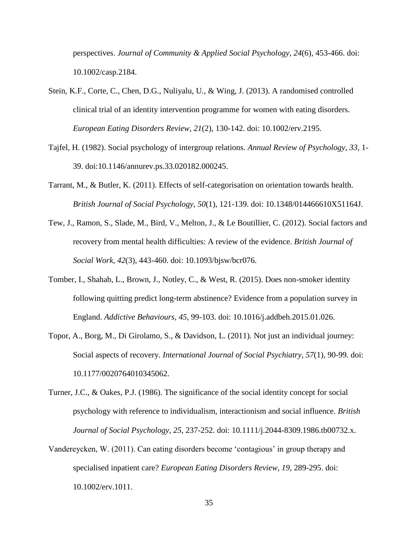perspectives. *Journal of Community & Applied Social Psychology*, *24*(6), 453-466. doi: 10.1002/casp.2184.

- Stein, K.F., Corte, C., Chen, D.G., Nuliyalu, U., & Wing, J. (2013). A randomised controlled clinical trial of an identity intervention programme for women with eating disorders. *European Eating Disorders Review*, *21*(2), 130-142. doi: 10.1002/erv.2195.
- Tajfel, H. (1982). Social psychology of intergroup relations. *Annual Review of Psychology*, *33*, 1- 39. doi:10.1146/annurev.ps.33.020182.000245.
- Tarrant, M., & Butler, K. (2011). Effects of self-categorisation on orientation towards health. *British Journal of Social Psychology*, *50*(1), 121-139. doi: 10.1348/014466610X51164J.
- Tew, J., Ramon, S., Slade, M., Bird, V., Melton, J., & Le Boutillier, C. (2012). Social factors and recovery from mental health difficulties: A review of the evidence. *British Journal of Social Work*, *42*(3), 443-460. doi: 10.1093/bjsw/bcr076.
- Tomber, I., Shahab, L., Brown, J., Notley, C., & West, R. (2015). Does non-smoker identity following quitting predict long-term abstinence? Evidence from a population survey in England. *Addictive Behaviours*, *45*, 99-103. doi: 10.1016/j.addbeh.2015.01.026.
- Topor, A., Borg, M., Di Girolamo, S., & Davidson, L. (2011). Not just an individual journey: Social aspects of recovery. *International Journal of Social Psychiatry*, *57*(1), 90-99. doi: 10.1177/0020764010345062.
- Turner, J.C., & Oakes, P.J. (1986). The significance of the social identity concept for social psychology with reference to individualism, interactionism and social influence. *British Journal of Social Psychology*, *25*, 237-252. doi: 10.1111/j.2044-8309.1986.tb00732.x.
- Vandereycken, W. (2011). Can eating disorders become 'contagious' in group therapy and specialised inpatient care? *European Eating Disorders Review*, *19*, 289-295. doi: 10.1002/erv.1011.